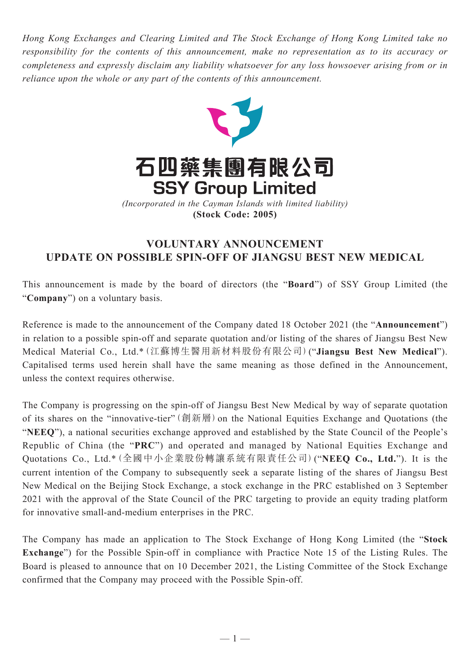*Hong Kong Exchanges and Clearing Limited and The Stock Exchange of Hong Kong Limited take no responsibility for the contents of this announcement, make no representation as to its accuracy or completeness and expressly disclaim any liability whatsoever for any loss howsoever arising from or in reliance upon the whole or any part of the contents of this announcement.*



## **VOLUNTARY ANNOUNCEMENT UPDATE ON POSSIBLE SPIN-OFF OF JIANGSU BEST NEW MEDICAL**

This announcement is made by the board of directors (the "**Board**") of SSY Group Limited (the "**Company**") on a voluntary basis.

Reference is made to the announcement of the Company dated 18 October 2021 (the "**Announcement**") in relation to a possible spin-off and separate quotation and/or listing of the shares of Jiangsu Best New Medical Material Co., Ltd.\*(江蘇博生醫用新材料股份有限公司)("**Jiangsu Best New Medical**"). Capitalised terms used herein shall have the same meaning as those defined in the Announcement, unless the context requires otherwise.

The Company is progressing on the spin-off of Jiangsu Best New Medical by way of separate quotation of its shares on the "innovative-tier"(創新層)on the National Equities Exchange and Quotations (the "**NEEQ**"), a national securities exchange approved and established by the State Council of the People's Republic of China (the "**PRC**") and operated and managed by National Equities Exchange and Quotations Co., Ltd.\*(全國中小企業股份轉讓系統有限責任公司)("**NEEQ Co., Ltd.**"). It is the current intention of the Company to subsequently seek a separate listing of the shares of Jiangsu Best New Medical on the Beijing Stock Exchange, a stock exchange in the PRC established on 3 September 2021 with the approval of the State Council of the PRC targeting to provide an equity trading platform for innovative small-and-medium enterprises in the PRC.

The Company has made an application to The Stock Exchange of Hong Kong Limited (the "**Stock Exchange**") for the Possible Spin-off in compliance with Practice Note 15 of the Listing Rules. The Board is pleased to announce that on 10 December 2021, the Listing Committee of the Stock Exchange confirmed that the Company may proceed with the Possible Spin-off.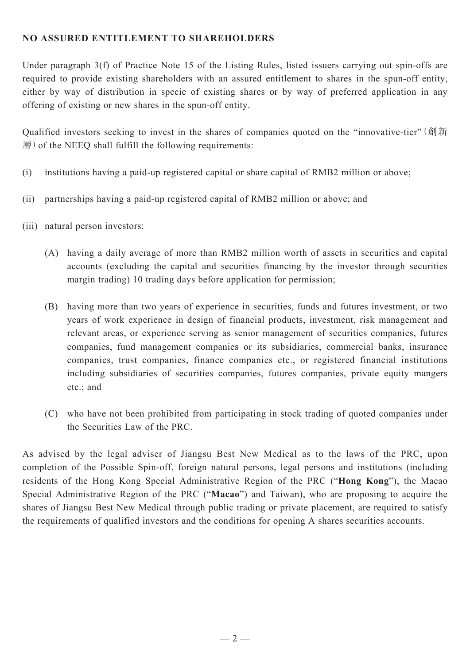## **NO ASSURED ENTITLEMENT TO SHAREHOLDERS**

Under paragraph 3(f) of Practice Note 15 of the Listing Rules, listed issuers carrying out spin-offs are required to provide existing shareholders with an assured entitlement to shares in the spun-off entity, either by way of distribution in specie of existing shares or by way of preferred application in any offering of existing or new shares in the spun-off entity.

Qualified investors seeking to invest in the shares of companies quoted on the "innovative-tier" (創新 層)of the NEEQ shall fulfill the following requirements:

- (i) institutions having a paid-up registered capital or share capital of RMB2 million or above;
- (ii) partnerships having a paid-up registered capital of RMB2 million or above; and
- (iii) natural person investors:
	- (A) having a daily average of more than RMB2 million worth of assets in securities and capital accounts (excluding the capital and securities financing by the investor through securities margin trading) 10 trading days before application for permission;
	- (B) having more than two years of experience in securities, funds and futures investment, or two years of work experience in design of financial products, investment, risk management and relevant areas, or experience serving as senior management of securities companies, futures companies, fund management companies or its subsidiaries, commercial banks, insurance companies, trust companies, finance companies etc., or registered financial institutions including subsidiaries of securities companies, futures companies, private equity mangers etc.; and
	- (C) who have not been prohibited from participating in stock trading of quoted companies under the Securities Law of the PRC.

As advised by the legal adviser of Jiangsu Best New Medical as to the laws of the PRC, upon completion of the Possible Spin-off, foreign natural persons, legal persons and institutions (including residents of the Hong Kong Special Administrative Region of the PRC ("**Hong Kong**"), the Macao Special Administrative Region of the PRC ("**Macao**") and Taiwan), who are proposing to acquire the shares of Jiangsu Best New Medical through public trading or private placement, are required to satisfy the requirements of qualified investors and the conditions for opening A shares securities accounts.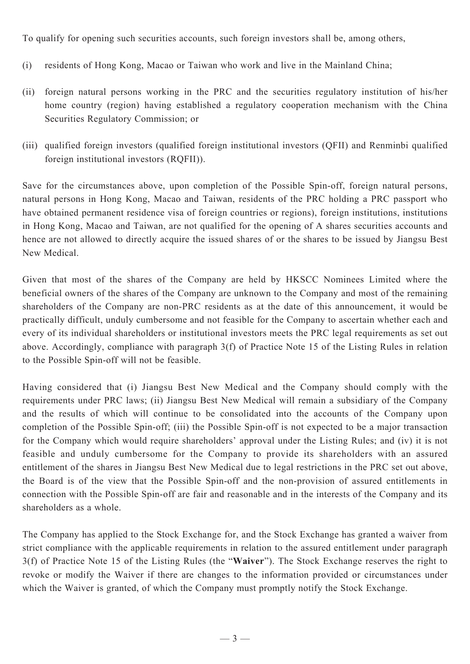To qualify for opening such securities accounts, such foreign investors shall be, among others,

- (i) residents of Hong Kong, Macao or Taiwan who work and live in the Mainland China;
- (ii) foreign natural persons working in the PRC and the securities regulatory institution of his/her home country (region) having established a regulatory cooperation mechanism with the China Securities Regulatory Commission; or
- (iii) qualified foreign investors (qualified foreign institutional investors (QFII) and Renminbi qualified foreign institutional investors (RQFII)).

Save for the circumstances above, upon completion of the Possible Spin-off, foreign natural persons, natural persons in Hong Kong, Macao and Taiwan, residents of the PRC holding a PRC passport who have obtained permanent residence visa of foreign countries or regions), foreign institutions, institutions in Hong Kong, Macao and Taiwan, are not qualified for the opening of A shares securities accounts and hence are not allowed to directly acquire the issued shares of or the shares to be issued by Jiangsu Best New Medical.

Given that most of the shares of the Company are held by HKSCC Nominees Limited where the beneficial owners of the shares of the Company are unknown to the Company and most of the remaining shareholders of the Company are non-PRC residents as at the date of this announcement, it would be practically difficult, unduly cumbersome and not feasible for the Company to ascertain whether each and every of its individual shareholders or institutional investors meets the PRC legal requirements as set out above. Accordingly, compliance with paragraph 3(f) of Practice Note 15 of the Listing Rules in relation to the Possible Spin-off will not be feasible.

Having considered that (i) Jiangsu Best New Medical and the Company should comply with the requirements under PRC laws; (ii) Jiangsu Best New Medical will remain a subsidiary of the Company and the results of which will continue to be consolidated into the accounts of the Company upon completion of the Possible Spin-off; (iii) the Possible Spin-off is not expected to be a major transaction for the Company which would require shareholders' approval under the Listing Rules; and (iv) it is not feasible and unduly cumbersome for the Company to provide its shareholders with an assured entitlement of the shares in Jiangsu Best New Medical due to legal restrictions in the PRC set out above, the Board is of the view that the Possible Spin-off and the non-provision of assured entitlements in connection with the Possible Spin-off are fair and reasonable and in the interests of the Company and its shareholders as a whole.

The Company has applied to the Stock Exchange for, and the Stock Exchange has granted a waiver from strict compliance with the applicable requirements in relation to the assured entitlement under paragraph 3(f) of Practice Note 15 of the Listing Rules (the "**Waiver**"). The Stock Exchange reserves the right to revoke or modify the Waiver if there are changes to the information provided or circumstances under which the Waiver is granted, of which the Company must promptly notify the Stock Exchange.